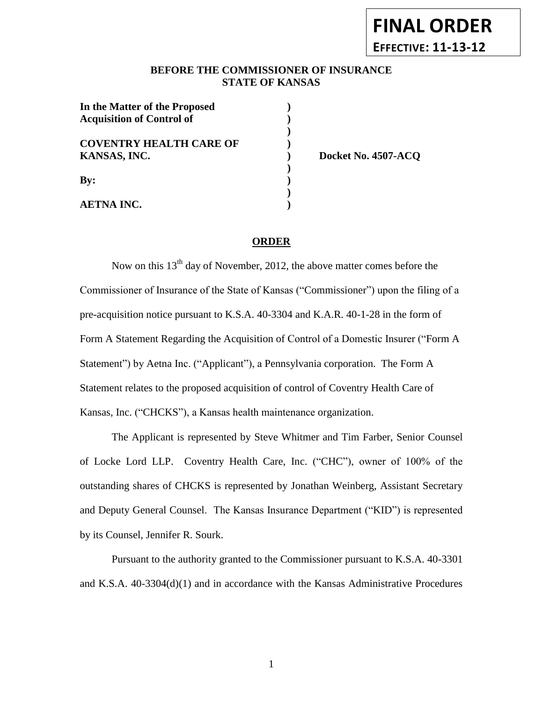# **FINAL ORDER EFFECTIVE: 11-13-12**

# BEFORE THE COMMISSIONER OF INSURANCE **STATE OF KANSAS**

| In the Matter of the Proposed<br><b>Acquisition of Control of</b> |  |
|-------------------------------------------------------------------|--|
| <b>COVENTRY HEALTH CARE OF</b><br>KANSAS, INC.                    |  |
| $\mathbf{By:}$                                                    |  |
| <b>AETNA INC.</b>                                                 |  |

**KANSAS, INC. ) Docket No. 4507-ACQ**

# **ORDER**

Now on this  $13<sup>th</sup>$  day of November, 2012, the above matter comes before the Commissioner of Insurance of the State of Kansas ("Commissioner") upon the filing of a pre-acquisition notice pursuant to K.S.A. 40-3304 and K.A.R. 40-1-28 in the form of Form A Statement Regarding the Acquisition of Control of a Domestic Insurer ("Form A Statement") by Aetna Inc. ("Applicant"), a Pennsylvania corporation. The Form A Statement relates to the proposed acquisition of control of Coventry Health Care of Kansas, Inc. ("CHCKS"), a Kansas health maintenance organization.

The Applicant is represented by Steve Whitmer and Tim Farber, Senior Counsel of Locke Lord LLP. Coventry Health Care, Inc. ("CHC"), owner of 100% of the outstanding shares of CHCKS is represented by Jonathan Weinberg, Assistant Secretary and Deputy General Counsel. The Kansas Insurance Department ("KID") is represented by its Counsel, Jennifer R. Sourk.

Pursuant to the authority granted to the Commissioner pursuant to K.S.A. 40-3301 and K.S.A. 40-3304(d)(1) and in accordance with the Kansas Administrative Procedures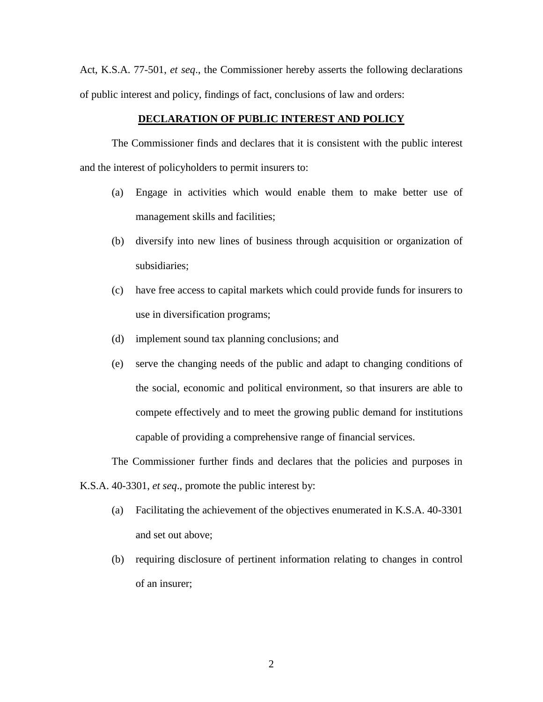Act, K.S.A. 77-501, *et seq*., the Commissioner hereby asserts the following declarations of public interest and policy, findings of fact, conclusions of law and orders:

#### **DECLARATION OF PUBLIC INTEREST AND POLICY**

The Commissioner finds and declares that it is consistent with the public interest and the interest of policyholders to permit insurers to:

- (a) Engage in activities which would enable them to make better use of management skills and facilities;
- (b) diversify into new lines of business through acquisition or organization of subsidiaries;
- (c) have free access to capital markets which could provide funds for insurers to use in diversification programs;
- (d) implement sound tax planning conclusions; and
- (e) serve the changing needs of the public and adapt to changing conditions of the social, economic and political environment, so that insurers are able to compete effectively and to meet the growing public demand for institutions capable of providing a comprehensive range of financial services.

The Commissioner further finds and declares that the policies and purposes in

K.S.A. 40-3301, *et seq*., promote the public interest by:

- (a) Facilitating the achievement of the objectives enumerated in K.S.A. 40-3301 and set out above;
- (b) requiring disclosure of pertinent information relating to changes in control of an insurer;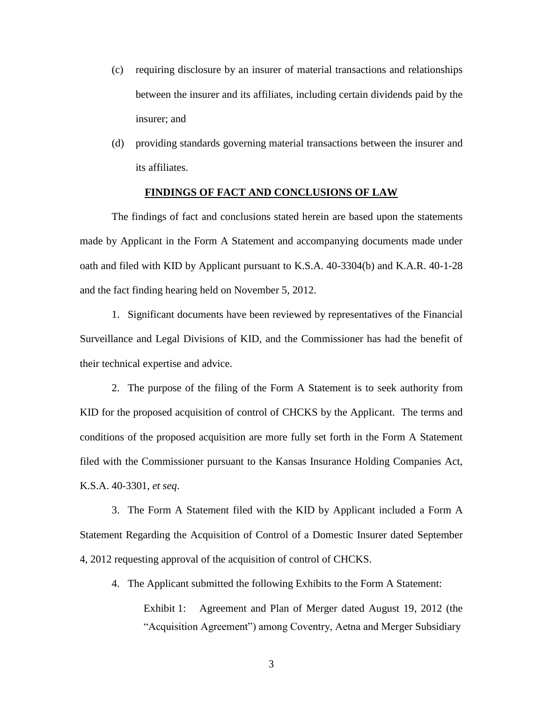- (c) requiring disclosure by an insurer of material transactions and relationships between the insurer and its affiliates, including certain dividends paid by the insurer; and
- (d) providing standards governing material transactions between the insurer and its affiliates.

#### **FINDINGS OF FACT AND CONCLUSIONS OF LAW**

The findings of fact and conclusions stated herein are based upon the statements made by Applicant in the Form A Statement and accompanying documents made under oath and filed with KID by Applicant pursuant to K.S.A. 40-3304(b) and K.A.R. 40-1-28 and the fact finding hearing held on November 5, 2012.

1. Significant documents have been reviewed by representatives of the Financial Surveillance and Legal Divisions of KID, and the Commissioner has had the benefit of their technical expertise and advice.

2. The purpose of the filing of the Form A Statement is to seek authority from KID for the proposed acquisition of control of CHCKS by the Applicant. The terms and conditions of the proposed acquisition are more fully set forth in the Form A Statement filed with the Commissioner pursuant to the Kansas Insurance Holding Companies Act, K.S.A. 40-3301, *et seq*.

3. The Form A Statement filed with the KID by Applicant included a Form A Statement Regarding the Acquisition of Control of a Domestic Insurer dated September 4, 2012 requesting approval of the acquisition of control of CHCKS.

4. The Applicant submitted the following Exhibits to the Form A Statement: Exhibit 1: Agreement and Plan of Merger dated August 19, 2012 (the "Acquisition Agreement") among Coventry, Aetna and Merger Subsidiary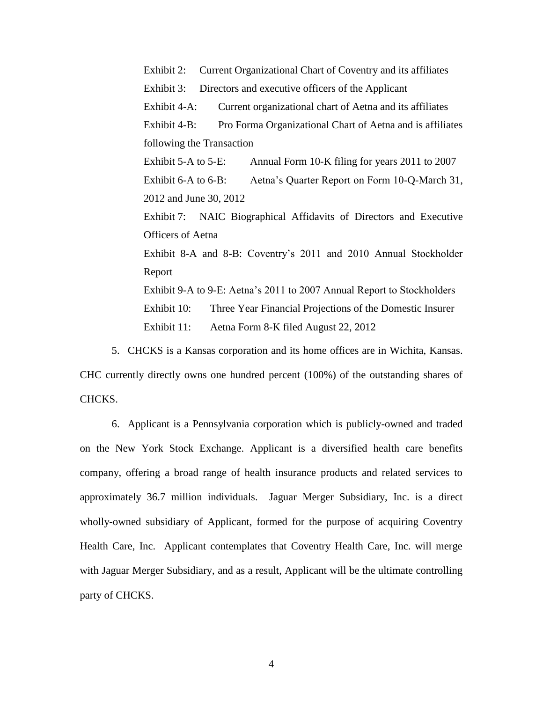Exhibit 2: Current Organizational Chart of Coventry and its affiliates Exhibit 3: Directors and executive officers of the Applicant Exhibit 4-A: Current organizational chart of Aetna and its affiliates Exhibit 4-B: Pro Forma Organizational Chart of Aetna and is affiliates following the Transaction Exhibit 5-A to 5-E: Annual Form 10-K filing for years 2011 to 2007 Exhibit 6-A to 6-B: Aetna's Quarter Report on Form 10-Q-March 31, 2012 and June 30, 2012 Exhibit 7: NAIC Biographical Affidavits of Directors and Executive Officers of Aetna Exhibit 8-A and 8-B: Coventry's 2011 and 2010 Annual Stockholder Report Exhibit 9-A to 9-E: Aetna's 2011 to 2007 Annual Report to Stockholders Exhibit 10: Three Year Financial Projections of the Domestic Insurer Exhibit 11: Aetna Form 8-K filed August 22, 2012

5. CHCKS is a Kansas corporation and its home offices are in Wichita, Kansas. CHC currently directly owns one hundred percent (100%) of the outstanding shares of CHCKS.

6. Applicant is a Pennsylvania corporation which is publicly-owned and traded on the New York Stock Exchange. Applicant is a diversified health care benefits company, offering a broad range of health insurance products and related services to approximately 36.7 million individuals. Jaguar Merger Subsidiary, Inc. is a direct wholly-owned subsidiary of Applicant, formed for the purpose of acquiring Coventry Health Care, Inc. Applicant contemplates that Coventry Health Care, Inc. will merge with Jaguar Merger Subsidiary, and as a result, Applicant will be the ultimate controlling party of CHCKS.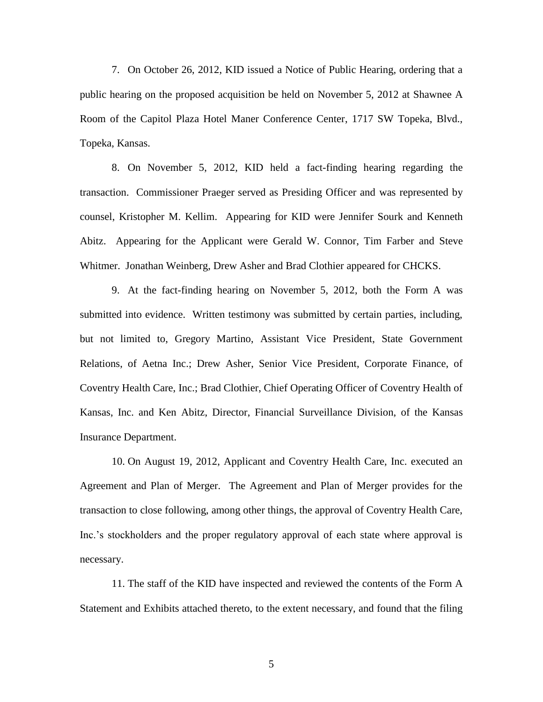7. On October 26, 2012, KID issued a Notice of Public Hearing, ordering that a public hearing on the proposed acquisition be held on November 5, 2012 at Shawnee A Room of the Capitol Plaza Hotel Maner Conference Center, 1717 SW Topeka, Blvd., Topeka, Kansas.

8. On November 5, 2012, KID held a fact-finding hearing regarding the transaction. Commissioner Praeger served as Presiding Officer and was represented by counsel, Kristopher M. Kellim. Appearing for KID were Jennifer Sourk and Kenneth Abitz. Appearing for the Applicant were Gerald W. Connor, Tim Farber and Steve Whitmer. Jonathan Weinberg, Drew Asher and Brad Clothier appeared for CHCKS.

9. At the fact-finding hearing on November 5, 2012, both the Form A was submitted into evidence. Written testimony was submitted by certain parties, including, but not limited to, Gregory Martino, Assistant Vice President, State Government Relations, of Aetna Inc.; Drew Asher, Senior Vice President, Corporate Finance, of Coventry Health Care, Inc.; Brad Clothier, Chief Operating Officer of Coventry Health of Kansas, Inc. and Ken Abitz, Director, Financial Surveillance Division, of the Kansas Insurance Department.

10. On August 19, 2012, Applicant and Coventry Health Care, Inc. executed an Agreement and Plan of Merger. The Agreement and Plan of Merger provides for the transaction to close following, among other things, the approval of Coventry Health Care, Inc.'s stockholders and the proper regulatory approval of each state where approval is necessary.

11. The staff of the KID have inspected and reviewed the contents of the Form A Statement and Exhibits attached thereto, to the extent necessary, and found that the filing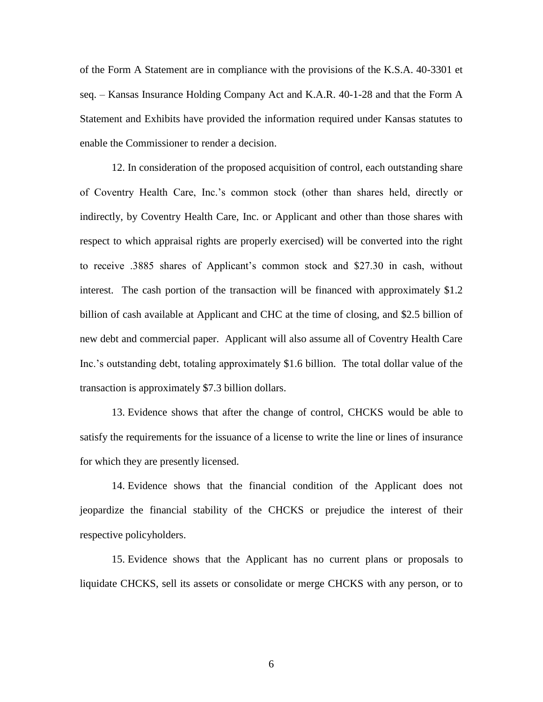of the Form A Statement are in compliance with the provisions of the K.S.A. 40-3301 et seq. – Kansas Insurance Holding Company Act and K.A.R. 40-1-28 and that the Form A Statement and Exhibits have provided the information required under Kansas statutes to enable the Commissioner to render a decision.

12. In consideration of the proposed acquisition of control, each outstanding share of Coventry Health Care, Inc.'s common stock (other than shares held, directly or indirectly, by Coventry Health Care, Inc. or Applicant and other than those shares with respect to which appraisal rights are properly exercised) will be converted into the right to receive .3885 shares of Applicant's common stock and \$27.30 in cash, without interest. The cash portion of the transaction will be financed with approximately \$1.2 billion of cash available at Applicant and CHC at the time of closing, and \$2.5 billion of new debt and commercial paper. Applicant will also assume all of Coventry Health Care Inc.'s outstanding debt, totaling approximately \$1.6 billion. The total dollar value of the transaction is approximately \$7.3 billion dollars.

13. Evidence shows that after the change of control, CHCKS would be able to satisfy the requirements for the issuance of a license to write the line or lines of insurance for which they are presently licensed.

14. Evidence shows that the financial condition of the Applicant does not jeopardize the financial stability of the CHCKS or prejudice the interest of their respective policyholders.

15. Evidence shows that the Applicant has no current plans or proposals to liquidate CHCKS, sell its assets or consolidate or merge CHCKS with any person, or to

6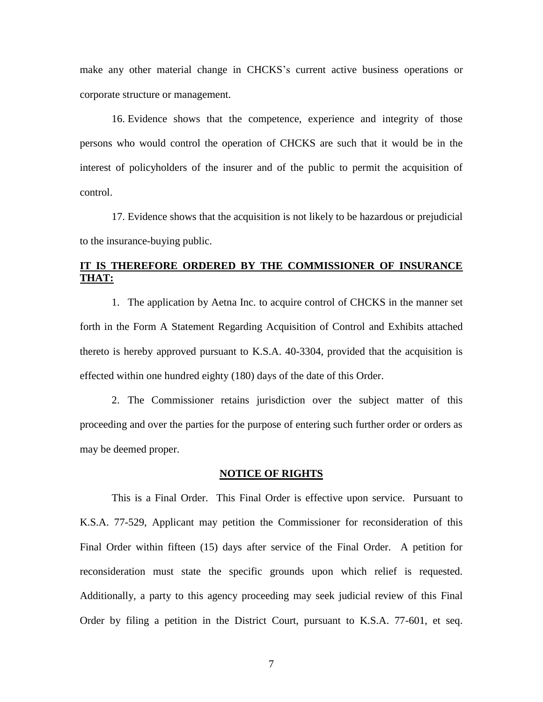make any other material change in CHCKS's current active business operations or corporate structure or management.

16. Evidence shows that the competence, experience and integrity of those persons who would control the operation of CHCKS are such that it would be in the interest of policyholders of the insurer and of the public to permit the acquisition of control.

17. Evidence shows that the acquisition is not likely to be hazardous or prejudicial to the insurance-buying public.

# **IT IS THEREFORE ORDERED BY THE COMMISSIONER OF INSURANCE THAT:**

1. The application by Aetna Inc. to acquire control of CHCKS in the manner set forth in the Form A Statement Regarding Acquisition of Control and Exhibits attached thereto is hereby approved pursuant to K.S.A. 40-3304, provided that the acquisition is effected within one hundred eighty (180) days of the date of this Order.

2. The Commissioner retains jurisdiction over the subject matter of this proceeding and over the parties for the purpose of entering such further order or orders as may be deemed proper.

#### **NOTICE OF RIGHTS**

This is a Final Order. This Final Order is effective upon service. Pursuant to K.S.A. 77-529, Applicant may petition the Commissioner for reconsideration of this Final Order within fifteen (15) days after service of the Final Order. A petition for reconsideration must state the specific grounds upon which relief is requested. Additionally, a party to this agency proceeding may seek judicial review of this Final Order by filing a petition in the District Court, pursuant to K.S.A. 77-601, et seq.

7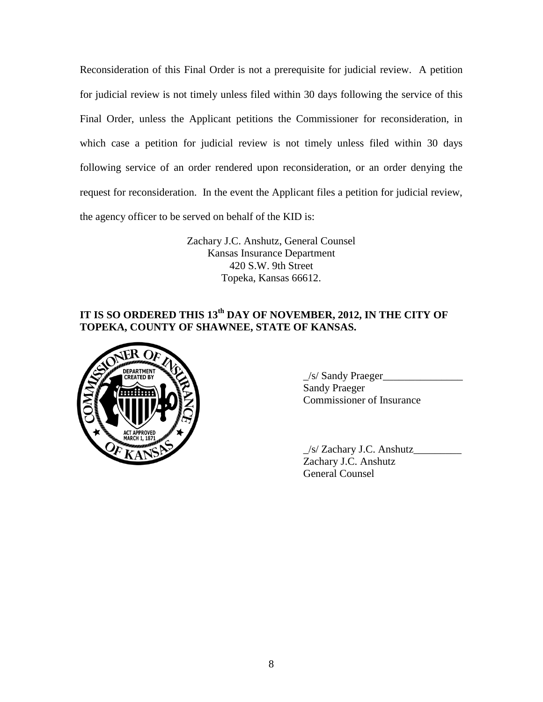Reconsideration of this Final Order is not a prerequisite for judicial review. A petition for judicial review is not timely unless filed within 30 days following the service of this Final Order, unless the Applicant petitions the Commissioner for reconsideration, in which case a petition for judicial review is not timely unless filed within 30 days following service of an order rendered upon reconsideration, or an order denying the request for reconsideration. In the event the Applicant files a petition for judicial review, the agency officer to be served on behalf of the KID is:

> Zachary J.C. Anshutz, General Counsel Kansas Insurance Department 420 S.W. 9th Street Topeka, Kansas 66612.

# **IT IS SO ORDERED THIS 13th DAY OF NOVEMBER, 2012, IN THE CITY OF TOPEKA, COUNTY OF SHAWNEE, STATE OF KANSAS.**



 $\angle$ s/ Sandy Praeger $\angle$ Sandy Praeger Commissioner of Insurance

\_/s/ Zachary J.C. Anshutz\_\_\_\_\_\_\_\_\_ Zachary J.C. Anshutz General Counsel